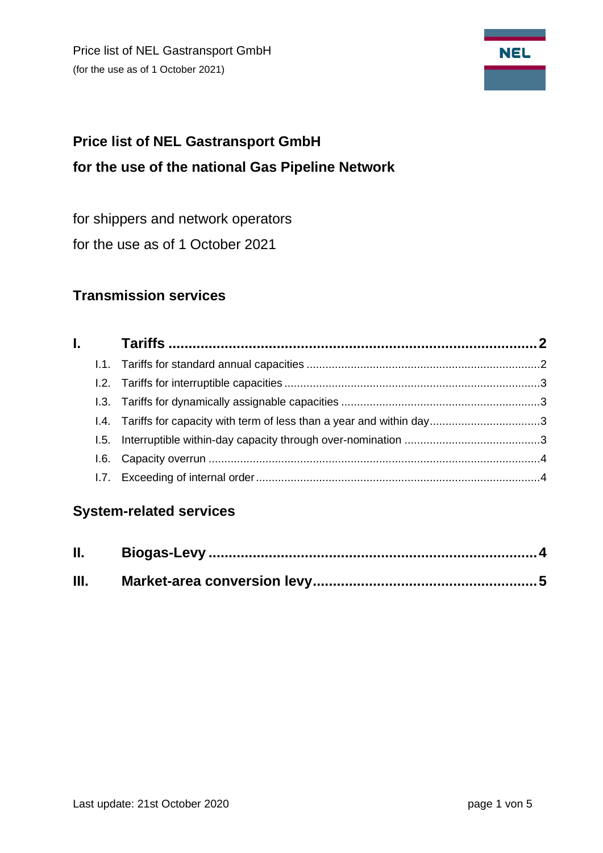Price list of NEL Gastransport GmbH (for the use as of 1 October 2021)



# **Price list of NEL Gastransport GmbH for the use of the national Gas Pipeline Network**

for shippers and network operators

for the use as of 1 October 2021

## **Transmission services**

# **System-related services**

| Ш. |  |
|----|--|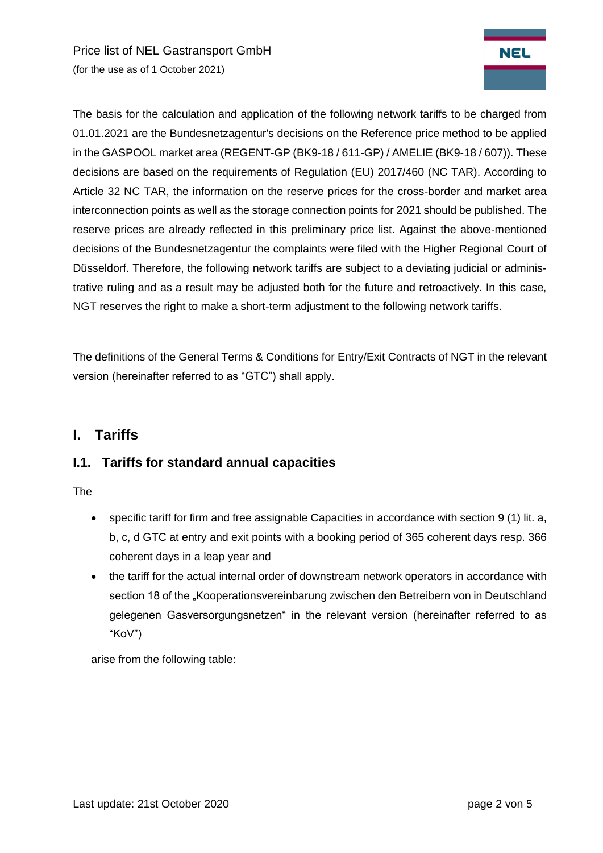Price list of NEL Gastransport GmbH (for the use as of 1 October 2021)



The basis for the calculation and application of the following network tariffs to be charged from 01.01.2021 are the Bundesnetzagentur's decisions on the Reference price method to be applied in the GASPOOL market area (REGENT-GP (BK9-18 / 611-GP) / AMELIE (BK9-18 / 607)). These decisions are based on the requirements of Regulation (EU) 2017/460 (NC TAR). According to Article 32 NC TAR, the information on the reserve prices for the cross-border and market area interconnection points as well as the storage connection points for 2021 should be published. The reserve prices are already reflected in this preliminary price list. Against the above-mentioned decisions of the Bundesnetzagentur the complaints were filed with the Higher Regional Court of Düsseldorf. Therefore, the following network tariffs are subject to a deviating judicial or administrative ruling and as a result may be adjusted both for the future and retroactively. In this case, NGT reserves the right to make a short-term adjustment to the following network tariffs.

<span id="page-1-0"></span>The definitions of the General Terms & Conditions for Entry/Exit Contracts of NGT in the relevant version (hereinafter referred to as "GTC") shall apply.

### **I. Tariffs**

#### <span id="page-1-1"></span>**I.1. Tariffs for standard annual capacities**

The

- specific tariff for firm and free assignable Capacities in accordance with section 9 (1) lit. a, b, c, d GTC at entry and exit points with a booking period of 365 coherent days resp. 366 coherent days in a leap year and
- the tariff for the actual internal order of downstream network operators in accordance with section 18 of the "Kooperationsvereinbarung zwischen den Betreibern von in Deutschland gelegenen Gasversorgungsnetzen" in the relevant version (hereinafter referred to as "KoV")

arise from the following table: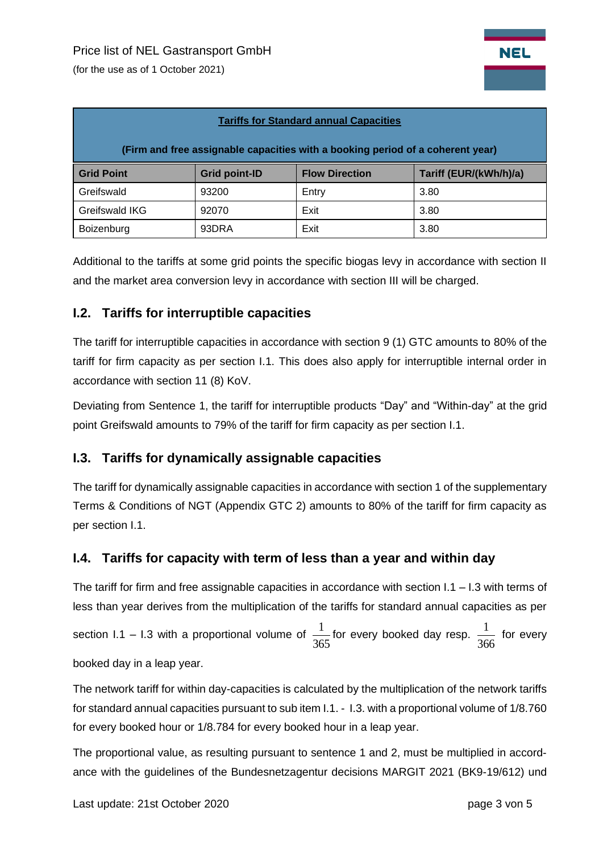(for the use as of 1 October 2021)

| <b>Tariffs for Standard annual Capacities</b>                                  |                      |                       |                        |  |  |  |  |  |
|--------------------------------------------------------------------------------|----------------------|-----------------------|------------------------|--|--|--|--|--|
| (Firm and free assignable capacities with a booking period of a coherent year) |                      |                       |                        |  |  |  |  |  |
| <b>Grid Point</b>                                                              | <b>Grid point-ID</b> | <b>Flow Direction</b> | Tariff (EUR/(kWh/h)/a) |  |  |  |  |  |
| Greifswald                                                                     | 93200                | Entry                 | 3.80                   |  |  |  |  |  |
| Greifswald IKG                                                                 | 92070                | Exit                  | 3.80                   |  |  |  |  |  |
| Boizenburg                                                                     | 93DRA                | Exit                  | 3.80                   |  |  |  |  |  |

Additional to the tariffs at some grid points the specific biogas levy in accordance with section II and the market area conversion levy in accordance with section III will be charged.

#### <span id="page-2-0"></span>**I.2. Tariffs for interruptible capacities**

The tariff for interruptible capacities in accordance with section 9 (1) GTC amounts to 80% of the tariff for firm capacity as per section I.1. This does also apply for interruptible internal order in accordance with section 11 (8) KoV.

Deviating from Sentence 1, the tariff for interruptible products "Day" and "Within-day" at the grid point Greifswald amounts to 79% of the tariff for firm capacity as per section I.1.

#### <span id="page-2-1"></span>**I.3. Tariffs for dynamically assignable capacities**

The tariff for dynamically assignable capacities in accordance with section 1 of the supplementary Terms & Conditions of NGT (Appendix GTC 2) amounts to 80% of the tariff for firm capacity as per section I.1.

#### <span id="page-2-2"></span>**I.4. Tariffs for capacity with term of less than a year and within day**

The tariff for firm and free assignable capacities in accordance with section  $1.1 - 1.3$  with terms of less than year derives from the multiplication of the tariffs for standard annual capacities as per section I.1 – I.3 with a proportional volume of 365  $\frac{1}{\sqrt{2}}$  for every booked day resp. 366  $\frac{1}{\sqrt{2}}$  for every

booked day in a leap year.

The network tariff for within day-capacities is calculated by the multiplication of the network tariffs for standard annual capacities pursuant to sub item I.1. - I.3. with a proportional volume of 1/8.760 for every booked hour or 1/8.784 for every booked hour in a leap year.

The proportional value, as resulting pursuant to sentence 1 and 2, must be multiplied in accordance with the guidelines of the Bundesnetzagentur decisions MARGIT 2021 (BK9-19/612) und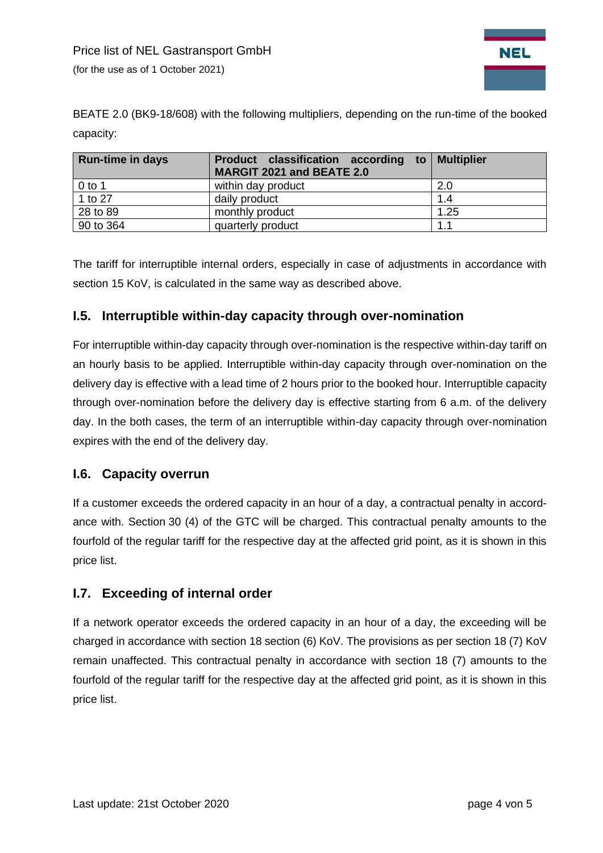

BEATE 2.0 (BK9-18/608) with the following multipliers, depending on the run-time of the booked capacity:

| <b>Run-time in days</b> | Product classification according to Multiplier<br>MARGIT 2021 and BEATE 2.0 |      |
|-------------------------|-----------------------------------------------------------------------------|------|
| $0$ to 1                | within day product                                                          | 2.0  |
| 1 to 27                 | daily product                                                               | 1.4  |
| 28 to 89                | monthly product                                                             | 1.25 |
| 90 to 364               | quarterly product                                                           | 1.1  |

The tariff for interruptible internal orders, especially in case of adjustments in accordance with section 15 KoV, is calculated in the same way as described above.

#### **I.5. Interruptible within-day capacity through over-nomination**

For interruptible within-day capacity through over-nomination is the respective within-day tariff on an hourly basis to be applied. Interruptible within-day capacity through over-nomination on the delivery day is effective with a lead time of 2 hours prior to the booked hour. Interruptible capacity through over-nomination before the delivery day is effective starting from 6 a.m. of the delivery day. In the both cases, the term of an interruptible within-day capacity through over-nomination expires with the end of the delivery day.

#### <span id="page-3-0"></span>**I.6. Capacity overrun**

If a customer exceeds the ordered capacity in an hour of a day, a contractual penalty in accordance with. Section 30 (4) of the GTC will be charged. This contractual penalty amounts to the fourfold of the regular tariff for the respective day at the affected grid point, as it is shown in this price list.

#### <span id="page-3-1"></span>**I.7. Exceeding of internal order**

If a network operator exceeds the ordered capacity in an hour of a day, the exceeding will be charged in accordance with section 18 section (6) KoV. The provisions as per section 18 (7) KoV remain unaffected. This contractual penalty in accordance with section 18 (7) amounts to the fourfold of the regular tariff for the respective day at the affected grid point, as it is shown in this price list.